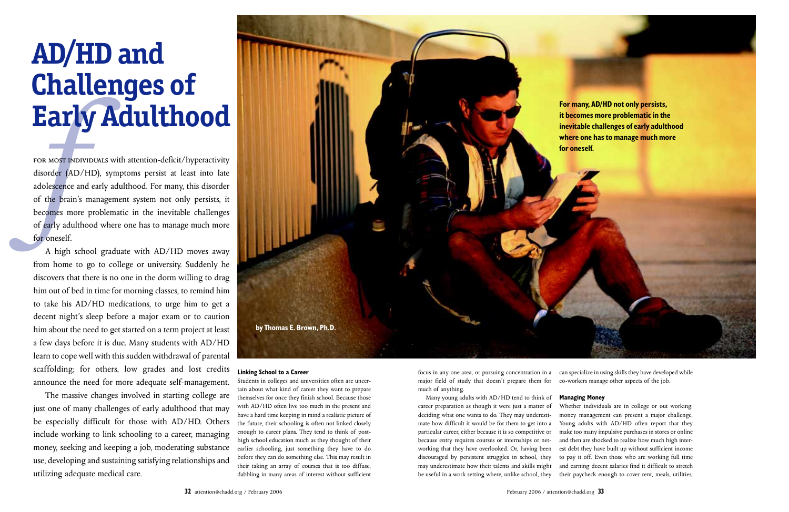from home to go to college or university. Suddenly he discovers that there is no one in the dorm willing to drag him out of bed in time for morning classes, to remind him to take his AD/HD medications, to urge him to get a decent night's sleep before a major exam or to caution him about the need to get started on a term project at least a few days before it is due. Many students with AD/HD learn to cope well with this sudden withdrawal of parental scaffolding; for others, low grades and lost credits announce the need for more adequate self-management.



The massive changes involved in starting college are just one of many challenges of early adulthood that may be especially difficult for those with AD/HD. Others include working to link schooling to a career, managing money, seeking and keeping a job, moderating substance use, developing and sustaining satisfying relationships and utilizing adequate medical care.

# **Linking School to a Career**

Students in colleges and universities often are uncertain about what kind of career they want to prepare themselves for once they finish school. Because those with AD/HD often live too much in the present and have a hard time keeping in mind a realistic picture of the future, their schooling is often not linked closely enough to career plans. They tend to think of posthigh school education much as they thought of their earlier schooling, just something they have to do before they can do something else. This may result in their taking an array of courses that is too diffuse, dabbling in many areas of interest without sufficient

# **AD/HD and Challenges of**

focus in any one area, or pursuing concentration in a major field of study that doesn't prepare them for much of anything.

Many young adults with AD/HD tend to think of career preparation as though it were just a matter of deciding what one wants to do. They may underestimate how difficult it would be for them to get into a particular career, either because it is so competitive or because entry requires courses or internships or networking that they have overlooked. Or, having been discouraged by persistent struggles in school, they may underestimate how their talents and skills might be useful in a work setting where, unlike school, they

can specialize in using skills they have developed while co-workers manage other aspects of the job.

## **Managing Money**

Whether individuals are in college or out working, money management can present a major challenge. Young adults with AD/HD often report that they make too many impulsive purchases in stores or online and then are shocked to realize how much high interest debt they have built up without sufficient income to pay it off. Even those who are working full time and earning decent salaries find it difficult to stretch their paycheck enough to cover rent, meals, utilities,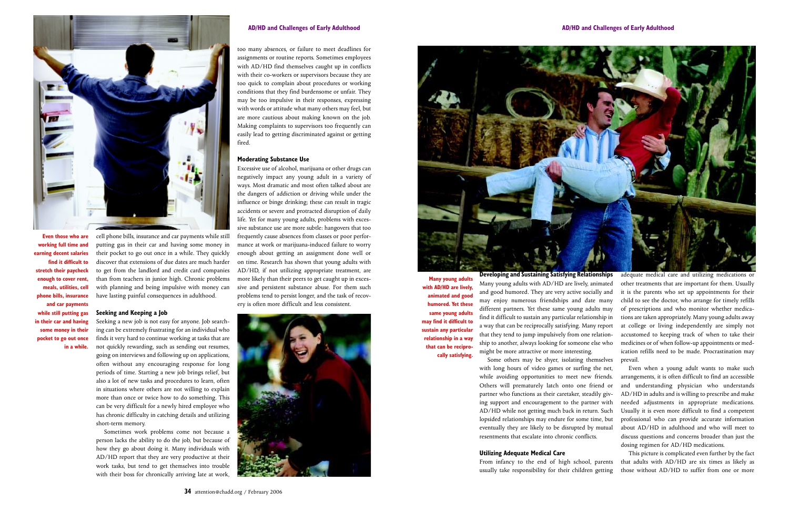cell phone bills, insurance and car payments while still putting gas in their car and having some money in their pocket to go out once in a while. They quickly discover that extensions of due dates are much harder to get from the landlord and credit card companies than from teachers in junior high. Chronic problems with planning and being impulsive with money can have lasting painful consequences in adulthood.

## **Seeking and Keeping a Job**

Seeking a new job is not easy for anyone. Job searching can be extremely frustrating for an individual who finds it very hard to continue working at tasks that are not quickly rewarding, such as sending out resumes, going on interviews and following up on applications, often without any encouraging response for long periods of time. Starting a new job brings relief, but also a lot of new tasks and procedures to learn, often in situations where others are not willing to explain more than once or twice how to do something. This can be very difficult for a newly hired employee who has chronic difficulty in catching details and utilizing short-term memory.

Sometimes work problems come not because a person lacks the ability to do the job, but because of how they go about doing it. Many individuals with AD/HD report that they are very productive at their work tasks, but tend to get themselves into trouble with their boss for chronically arriving late at work,

too many absences, or failure to meet deadlines for assignments or routine reports. Sometimes employees with AD/HD find themselves caught up in conflicts with their co-workers or supervisors because they are too quick to complain about procedures or working conditions that they find burdensome or unfair. They may be too impulsive in their responses, expressing with words or attitude what many others may feel, but are more cautious about making known on the job. Making complaints to supervisors too frequently can easily lead to getting discriminated against or getting fired.

#### **Moderating Substance Use**

Excessive use of alcohol, marijuana or other drugs can negatively impact any young adult in a variety of ways. Most dramatic and most often talked about are the dangers of addiction or driving while under the influence or binge drinking; these can result in tragic accidents or severe and protracted disruption of daily life. Yet for many young adults, problems with excessive substance use are more subtle: hangovers that too frequently cause absences from classes or poor performance at work or marijuana-induced failure to worry enough about getting an assignment done well or on time. Research has shown that young adults with AD/HD, if not utilizing appropriate treatment, are more likely than their peers to get caught up in excessive and persistent substance abuse. For them such problems tend to persist longer, and the task of recovery is often more difficult and less consistent.





#### **AD/HD and Challenges of Early Adulthood**



**Even those who are working full time and earning decent salaries find it difficult to stretch their paycheck enough to cover rent, meals, utilities, cell phone bills, insurance and car payments while still putting gas in their car and having some money in their pocket to go out once in a while.**

**Many young adults with AD/HD are lively, animated and good humored. Yet these same young adults may find it difficult to sustain any particular relationship in a way that can be reciprocally satisfying.**

**Developing and Sustaining Satisfying Relationships** Many young adults with AD/HD are lively, animated and good humored. They are very active socially and may enjoy numerous friendships and date many different partners. Yet these same young adults may find it difficult to sustain any particular relationship in a way that can be reciprocally satisfying. Many report that they tend to jump impulsively from one relationship to another, always looking for someone else who might be more attractive or more interesting.

Some others may be shyer, isolating themselves with long hours of video games or surfing the net, while avoiding opportunities to meet new friends. Others will prematurely latch onto one friend or partner who functions as their caretaker, steadily giving support and encouragement to the partner with AD/HD while not getting much back in return. Such lopsided relationships may endure for some time, but eventually they are likely to be disrupted by mutual resentments that escalate into chronic conflicts.

## **Utilizing Adequate Medical Care**

From infancy to the end of high school, parents usually take responsibility for their children getting

adequate medical care and utilizing medications or other treatments that are important for them. Usually it is the parents who set up appointments for their child to see the doctor, who arrange for timely refills of prescriptions and who monitor whether medications are taken appropriately. Many young adults away at college or living independently are simply not accustomed to keeping track of when to take their medicines or of when follow-up appointments or medication refills need to be made. Procrastination may prevail.

Even when a young adult wants to make such arrangements, it is often difficult to find an accessible and understanding physician who understands AD/HD in adults and is willing to prescribe and make needed adjustments in appropriate medications. Usually it is even more difficult to find a competent professional who can provide accurate information about AD/HD in adulthood and who will meet to discuss questions and concerns broader than just the dosing regimen for AD/HD medications.

This picture is complicated even further by the fact that adults with AD/HD are six times as likely as those without AD/HD to suffer from one or more